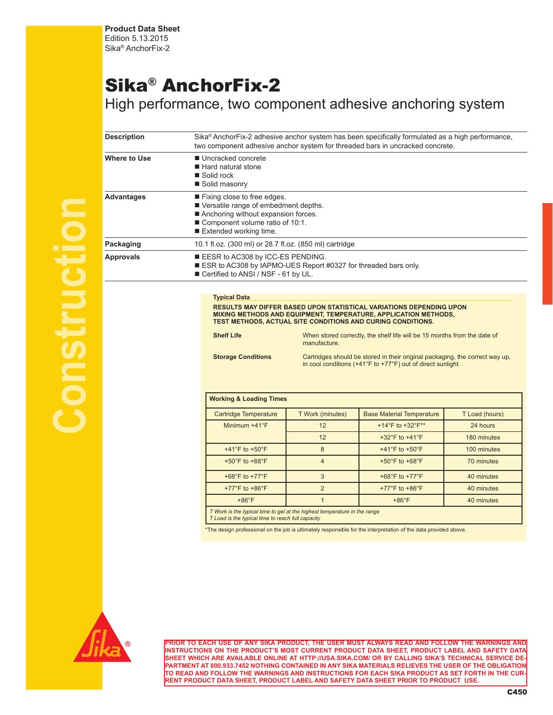**Product Data Sheet** Edition 5.13.2015 Sika® AnchorFix-2

# Sika® AnchorFix-2

High performance, two component adhesive anchoring system

| <b>Description</b> | Sika® AnchorFix-2 adhesive anchor system has been specifically formulated as a high performance,<br>two component adhesive anchor system for threaded bars in uncracked concrete. |                                                                                                                                               |                                                                                                                                                                                                                                                                                                                                                           |                |  |  |  |  |  |  |  |
|--------------------|-----------------------------------------------------------------------------------------------------------------------------------------------------------------------------------|-----------------------------------------------------------------------------------------------------------------------------------------------|-----------------------------------------------------------------------------------------------------------------------------------------------------------------------------------------------------------------------------------------------------------------------------------------------------------------------------------------------------------|----------------|--|--|--|--|--|--|--|
| Where to Use       | ■ Uncracked concrete<br>■ Hard natural stone<br>■ Solid rock<br>Solid masonry                                                                                                     |                                                                                                                                               |                                                                                                                                                                                                                                                                                                                                                           |                |  |  |  |  |  |  |  |
| <b>Advantages</b>  | Extended working time.                                                                                                                                                            | Fixing close to free edges.<br>Versatile range of embedment depths.<br>Anchoring without expansion forces.<br>Component volume ratio of 10:1. |                                                                                                                                                                                                                                                                                                                                                           |                |  |  |  |  |  |  |  |
| Packaging          |                                                                                                                                                                                   | 10.1 fl.oz. (300 ml) or 28.7 fl.oz. (850 ml) cartridge                                                                                        |                                                                                                                                                                                                                                                                                                                                                           |                |  |  |  |  |  |  |  |
| <b>Approvals</b>   |                                                                                                                                                                                   | EESR to AC308 by ICC-ES PENDING.<br>ESR to AC308 by IAPMO-UES Report #0327 for threaded bars only.<br>Certified to ANSI / NSF - 61 by UL.     |                                                                                                                                                                                                                                                                                                                                                           |                |  |  |  |  |  |  |  |
|                    | <b>Shelf Life</b><br><b>Storage Conditions</b><br><b>Working &amp; Loading Times</b>                                                                                              | manufacture.                                                                                                                                  | MIXING METHODS AND EQUIPMENT, TEMPERATURE, APPLICATION METHODS,<br>TEST METHODS, ACTUAL SITE CONDITIONS AND CURING CONDITIONS.<br>When stored correctly, the shelf life will be 15 months from the date of<br>Cartridges should be stored in their original packaging, the correct way up,<br>in cool conditions (+41°F to +77°F) out of direct sunlight. |                |  |  |  |  |  |  |  |
|                    | <b>Cartridge Temperature</b>                                                                                                                                                      | T Work (minutes)                                                                                                                              | <b>Base Material Temperature</b>                                                                                                                                                                                                                                                                                                                          | T Load (hours) |  |  |  |  |  |  |  |
|                    | Minimum +41°F                                                                                                                                                                     | 12                                                                                                                                            | +14°F to +32°F**                                                                                                                                                                                                                                                                                                                                          | 24 hours       |  |  |  |  |  |  |  |
|                    |                                                                                                                                                                                   |                                                                                                                                               |                                                                                                                                                                                                                                                                                                                                                           |                |  |  |  |  |  |  |  |
|                    |                                                                                                                                                                                   | 12                                                                                                                                            | +32 $\degree$ F to +41 $\degree$ F                                                                                                                                                                                                                                                                                                                        | 180 minutes    |  |  |  |  |  |  |  |
|                    | +41°F to +50°F                                                                                                                                                                    | 8                                                                                                                                             | +41 $\degree$ F to +50 $\degree$ F                                                                                                                                                                                                                                                                                                                        | 100 minutes    |  |  |  |  |  |  |  |
|                    | +50 $\degree$ F to +68 $\degree$ F                                                                                                                                                | $\overline{4}$                                                                                                                                | +50°F to +68°F                                                                                                                                                                                                                                                                                                                                            | 70 minutes     |  |  |  |  |  |  |  |
|                    | +68°F to +77°F                                                                                                                                                                    | $\mathbf{3}$                                                                                                                                  | +68°F to +77°F                                                                                                                                                                                                                                                                                                                                            | 40 minutes     |  |  |  |  |  |  |  |
|                    | +77°F to +86°F                                                                                                                                                                    | $\overline{2}$                                                                                                                                | +77°F to +86°F                                                                                                                                                                                                                                                                                                                                            | 40 minutes     |  |  |  |  |  |  |  |

*T Work is the typical time to gel at the highest temperature in the range T Load is the typical time to reach full capacity*

\*The design professional on the job is ultimately responsible for the interpretation of the data provided above.



**Construction**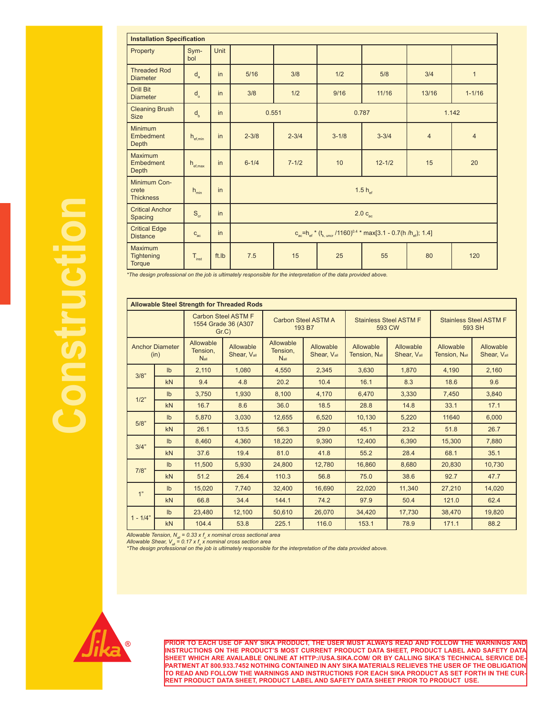| <b>Installation Specification</b>                    |                          |       |           |                     |           |                                                                                |                |                |  |  |  |
|------------------------------------------------------|--------------------------|-------|-----------|---------------------|-----------|--------------------------------------------------------------------------------|----------------|----------------|--|--|--|
| Property                                             | Sym-<br>bol              | Unit  |           |                     |           |                                                                                |                |                |  |  |  |
| <b>Threaded Rod</b><br><b>Diameter</b>               | $d_a$                    | in    | 5/16      | 3/8                 | 1/2       | 5/8                                                                            | 3/4            | $\mathbf{1}$   |  |  |  |
| <b>Drill Bit</b><br><b>Diameter</b>                  | d <sub>o</sub>           | in    | 3/8       | 1/2                 | 9/16      | 11/16                                                                          | 13/16          | $1 - 1/16$     |  |  |  |
| <b>Cleaning Brush</b><br><b>Size</b>                 | $d_{b}$                  | in    | 0.551     |                     | 0.787     |                                                                                | 1.142          |                |  |  |  |
| Minimum<br>Embedment<br>Depth                        | $h_{\text{ef,min}}$      | in    | $2 - 3/8$ | $2 - 3/4$           | $3 - 1/8$ | $3 - 3/4$                                                                      | $\overline{4}$ | $\overline{4}$ |  |  |  |
| Maximum<br>Embedment<br>Depth                        | $h_{\text{ef,max}}$      | in    | $6 - 1/4$ | $7 - 1/2$           | 10        | $12 - 1/2$                                                                     | 15             | 20             |  |  |  |
| Minimum Con-<br>crete<br><b>Thickness</b>            | $h_{\min}$               | in    |           | 1.5 $h_{\text{ef}}$ |           |                                                                                |                |                |  |  |  |
| <b>Critical Anchor</b><br>Spacing                    | $\mathbf{S}_{\text{cr}}$ | in    |           |                     |           | $2.0 c_{ac}$                                                                   |                |                |  |  |  |
| <b>Critical Edge</b><br><b>Distance</b>              | $C_{\text{ac}}$          | in    |           |                     |           | $c_{ac} = h_{ef} * (t_{k, uncr} / 1160)^{0.4} * max[3.1 - 0.7(h/h_{ef}); 1.4]$ |                |                |  |  |  |
| <b>Maximum</b><br><b>Tightening</b><br><b>Torque</b> | $T_{inst}$               | ft.lb | 7.5       | 15                  | 25        | 55                                                                             | 80             | 120            |  |  |  |

*\*The design professional on the job is ultimately responsible for the interpretation of the data provided above.*

|                                                               | <b>Allowable Steel Strength for Threaded Rods</b> |                                           |                               |                                    |                                                               |                                         |                                         |                                   |                          |  |  |  |
|---------------------------------------------------------------|---------------------------------------------------|-------------------------------------------|-------------------------------|------------------------------------|---------------------------------------------------------------|-----------------------------------------|-----------------------------------------|-----------------------------------|--------------------------|--|--|--|
| <b>Carbon Steel ASTM F</b><br>1554 Grade 36 (A307<br>$Gr.C$ ) |                                                   |                                           | Carbon Steel ASTM A<br>193 B7 |                                    |                                                               | <b>Stainless Steel ASTM F</b><br>593 CW | <b>Stainless Steel ASTM F</b><br>593 SH |                                   |                          |  |  |  |
| <b>Anchor Diameter</b><br>(in)                                |                                                   | Allowable<br>Tension.<br>N <sub>all</sub> | Allowable<br>Shear, Vall      | Allowable<br>Tension.<br>$N_{all}$ | Allowable<br>Allowable<br>Shear, Vall<br><b>Tension, Nall</b> |                                         | Allowable<br>Shear, Vall                | Allowable<br><b>Tension, Nall</b> | Allowable<br>Shear, Vall |  |  |  |
| 3/8"                                                          | I <sub>b</sub>                                    | 2,110                                     | 1.080                         | 4,550                              | 2,345                                                         | 3,630                                   | 1,870                                   | 4,190                             | 2,160                    |  |  |  |
|                                                               | kN                                                | 9.4                                       | 4.8                           | 20.2                               | 10.4                                                          | 16.1                                    | 8.3                                     | 18.6                              | 9.6                      |  |  |  |
| 1/2"                                                          | I <sub>b</sub>                                    | 3,750                                     | 1.930                         | 8.100                              | 4,170                                                         | 6.470                                   | 3.330                                   | 7.450                             | 3.840                    |  |  |  |
|                                                               | kN                                                | 16.7                                      | 8.6                           | 36.0                               | 18.5                                                          | 28.8                                    | 14.8                                    | 33.1                              | 17.1                     |  |  |  |
| 5/8"                                                          | I <sub>b</sub>                                    | 5.870                                     | 3.030                         | 12.655                             | 6.520                                                         | 10.130                                  | 5,220                                   | 11640                             | 6.000                    |  |  |  |
|                                                               | kN                                                | 26.1                                      | 13.5                          | 56.3                               | 29.0                                                          | 45.1                                    | 23.2                                    | 51.8                              | 26.7                     |  |  |  |
| 3/4"                                                          | I <sub>b</sub>                                    | 8.460                                     | 4.360                         | 18.220                             | 9.390                                                         | 12.400                                  | 6.390                                   | 15.300                            | 7.880                    |  |  |  |
|                                                               | kN                                                | 37.6                                      | 19.4                          | 81.0                               | 41.8                                                          | 55.2                                    | 28.4                                    | 68.1                              | 35.1                     |  |  |  |
| 7/8"                                                          | I <sub>b</sub>                                    | 11.500                                    | 5.930                         | 24.800                             | 12.780                                                        | 16.860                                  | 8.680                                   | 20.830                            | 10.730                   |  |  |  |
|                                                               | kN                                                | 51.2                                      | 26.4                          | 110.3                              | 56.8                                                          | 75.0                                    | 38.6                                    | 92.7                              | 47.7                     |  |  |  |
| 1"                                                            | I <sub>b</sub>                                    | 15.020                                    | 7.740                         | 32.400                             | 16.690                                                        | 22.020                                  | 11.340                                  | 27,210                            | 14.020                   |  |  |  |
|                                                               | kN                                                | 66.8                                      | 34.4                          | 144.1                              | 74.2                                                          | 97.9                                    | 50.4                                    | 121.0                             | 62.4                     |  |  |  |
|                                                               | I <sub>b</sub>                                    | 23,480                                    | 12,100                        | 50.610                             | 26.070                                                        | 34.420                                  | 17,730                                  | 38,470                            | 19,820                   |  |  |  |
| $1 - 1/4"$                                                    | kN                                                | 104.4                                     | 53.8                          | 225.1                              | 116.0                                                         | 153.1                                   | 78.9                                    | 171.1                             | 88.2                     |  |  |  |

Allowable Tension, N<sub>aii</sub> = 0.33 x f<sub>u</sub> x nominal cross sectional area<br>Allowable Shear, V<sub>aii</sub> = 0.17 x f<sub>u</sub> x nominal cross section area<br>\*The design professional on the job is ultimately responsible for the interpretation

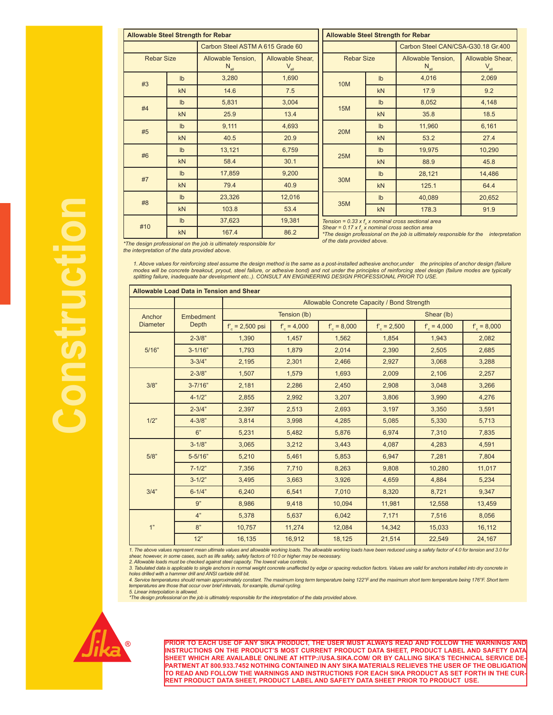| <b>Allowable Steel Strength for Rebar</b> |                                                                                       |                                                                  |                   | <b>Allowable Steel Strength for Rebar</b> |                                                                                                                                              |                                                         |        |  |  |
|-------------------------------------------|---------------------------------------------------------------------------------------|------------------------------------------------------------------|-------------------|-------------------------------------------|----------------------------------------------------------------------------------------------------------------------------------------------|---------------------------------------------------------|--------|--|--|
|                                           |                                                                                       | Carbon Steel ASTM A 615 Grade 60                                 |                   | Carbon Steel CAN/CSA-G30.18 Gr.400        |                                                                                                                                              |                                                         |        |  |  |
|                                           | <b>Rebar Size</b><br>Allowable Tension,<br>Allowable Shear,<br>$N_{all}$<br>$V_{all}$ |                                                                  | <b>Rebar Size</b> |                                           | Allowable Tension,<br>$N_{all}$                                                                                                              | Allowable Shear,<br>$\mathsf{V}_{\mathsf{all}}$         |        |  |  |
| #3                                        | I <sub>b</sub>                                                                        | 3,280                                                            | 1,690             | <b>10M</b>                                | $\mathsf{lb}$                                                                                                                                | 4,016                                                   | 2,069  |  |  |
|                                           | kN                                                                                    | 14.6                                                             | 7.5               |                                           | <b>kN</b>                                                                                                                                    | 17.9                                                    | 9.2    |  |  |
| #4                                        | I <sub>b</sub>                                                                        | 5,831                                                            | 3,004             | <b>15M</b>                                | I <sub>b</sub>                                                                                                                               | 8,052                                                   | 4,148  |  |  |
|                                           | kN                                                                                    | 25.9                                                             | 13.4              |                                           | kN                                                                                                                                           | 35.8                                                    | 18.5   |  |  |
| #5                                        | I <sub>b</sub>                                                                        | 9,111                                                            | 4,693             | <b>20M</b>                                | $\mathsf{lb}$                                                                                                                                | 11,960                                                  | 6,161  |  |  |
|                                           | kN                                                                                    | 40.5                                                             | 20.9              |                                           | kN                                                                                                                                           | 53.2                                                    | 27.4   |  |  |
| #6                                        | I <sub>b</sub>                                                                        | 13,121                                                           | 6,759             | <b>25M</b>                                | I <sub>b</sub>                                                                                                                               | 19,975                                                  | 10,290 |  |  |
|                                           | kN                                                                                    | 58.4                                                             | 30.1              |                                           | kN                                                                                                                                           | 88.9                                                    | 45.8   |  |  |
| #7                                        | I <sub>b</sub>                                                                        | 17,859                                                           | 9,200             | 30M                                       | I <sub>b</sub>                                                                                                                               | 28,121                                                  | 14,486 |  |  |
|                                           | <b>kN</b>                                                                             | 79.4                                                             | 40.9              |                                           | kN                                                                                                                                           | 125.1                                                   | 64.4   |  |  |
| #8                                        | I <sub>b</sub>                                                                        | 23,326                                                           | 12,016            |                                           | $\mathsf{lb}$                                                                                                                                | 40,089                                                  | 20,652 |  |  |
|                                           | <b>kN</b>                                                                             | 103.8                                                            | 53.4              | 35M                                       | kN                                                                                                                                           | 178.3                                                   | 91.9   |  |  |
| #10                                       | I <sub>b</sub>                                                                        | 37,623                                                           | 19,381            |                                           |                                                                                                                                              | Tension = 0.33 x $f_{u}$ x nominal cross sectional area |        |  |  |
|                                           | <b>kN</b>                                                                             | 167.4                                                            | 86.2              |                                           | Shear = $0.17 \times f$ x nominal cross section area<br>*The design professional on the job is ultimately responsible for the interpretation |                                                         |        |  |  |
|                                           |                                                                                       | The decian professional on the job in ultimately reapposible for |                   | of the data provided above.               |                                                                                                                                              |                                                         |        |  |  |

*\*The design professional on the job is ultimately responsible for the interpretation of the data provided above.*

1. Above values for reinforcing steel assume the design method is the same as a post-installed adhesive anchor,under the principles of anchor design (failure<br>modes will be concrete breakout, pryout, steel failure, or adhes *splitting failure, inadequate bar development etc..). CONSULT AN ENGINEERING DESIGN PROFESSIONAL PRIOR TO USE.*

| <b>Allowable Load Data in Tension and Shear</b> |             |                                             |               |              |                  |               |              |  |  |  |  |
|-------------------------------------------------|-------------|---------------------------------------------|---------------|--------------|------------------|---------------|--------------|--|--|--|--|
|                                                 |             | Allowable Concrete Capacity / Bond Strength |               |              |                  |               |              |  |  |  |  |
| Anchor                                          | Embedment   |                                             | Tension (lb)  |              |                  | Shear (lb)    |              |  |  |  |  |
| <b>Diameter</b>                                 | Depth       | $f = 2,500$ psi                             | $f_c = 4,000$ | $f' = 8,000$ | $f'_{c}$ = 2,500 | $f_c = 4,000$ | $f' = 8,000$ |  |  |  |  |
|                                                 | $2 - 3/8"$  | 1,390                                       | 1,457         | 1,562        | 1,854            | 1,943         | 2,082        |  |  |  |  |
| 5/16"                                           | $3 - 1/16"$ | 1,793                                       | 1,879         | 2,014        | 2,390            | 2,505         | 2,685        |  |  |  |  |
|                                                 | $3 - 3/4"$  | 2,195                                       | 2,301         | 2,466        | 2,927            | 3,068         | 3,288        |  |  |  |  |
|                                                 | $2 - 3/8"$  | 1,507                                       | 1,579         | 1,693        | 2,009            | 2,106         | 2,257        |  |  |  |  |
| 3/8"                                            | $3 - 7/16"$ | 2,181                                       | 2,286         | 2,450        | 2,908            | 3,048         | 3,266        |  |  |  |  |
|                                                 | $4 - 1/2"$  | 2,855                                       | 2,992         | 3,207        | 3,806            | 3,990         | 4,276        |  |  |  |  |
|                                                 | $2 - 3/4"$  | 2,397                                       | 2,513         | 2,693        | 3,197            | 3,350         | 3,591        |  |  |  |  |
| 1/2"                                            | $4 - 3/8"$  | 3,814                                       | 3,998         | 4,285        | 5,085            | 5,330         | 5,713        |  |  |  |  |
|                                                 | 6"          | 5,231                                       | 5,482         | 5,876        | 6,974            | 7,310         | 7,835        |  |  |  |  |
|                                                 | $3 - 1/8"$  | 3,065                                       | 3,212         | 3,443        | 4,087            | 4,283         | 4,591        |  |  |  |  |
| 5/8"                                            | $5 - 5/16"$ | 5,210                                       | 5,461         | 5,853        | 6,947            | 7,281         | 7,804        |  |  |  |  |
|                                                 | $7 - 1/2"$  | 7,356                                       | 7,710         | 8,263        | 9,808            | 10,280        | 11,017       |  |  |  |  |
|                                                 | $3 - 1/2"$  | 3,495                                       | 3,663         | 3,926        | 4,659            | 4,884         | 5,234        |  |  |  |  |
| 3/4"                                            | $6 - 1/4"$  | 6,240                                       | 6,541         | 7,010        | 8,320            | 8,721         | 9,347        |  |  |  |  |
|                                                 | 9"          | 8,986                                       | 9,418         | 10,094       | 11,981           | 12,558        | 13,459       |  |  |  |  |
|                                                 | 4"          | 5,378                                       | 5,637         | 6,042        | 7,171            | 7,516         | 8,056        |  |  |  |  |
| 1"                                              | 8"          | 10,757                                      | 11,274        | 12,084       | 14,342           | 15,033        | 16,112       |  |  |  |  |
|                                                 | 12"         | 16,135                                      | 16,912        | 18,125       | 21,514           | 22,549        | 24,167       |  |  |  |  |

*1. The above values represent mean ultimate values and allowable working loads. The allowable working loads have been reduced using a safety factor of 4.0 for tension and 3.0 for shear, however, in some cases, such as life safety, safety factors of 10.0 or higher may be necessary.* 

*2. Allowable loads must be checked against steel capacity. The lowest value controls.* 

3. Tabulated data is applicable to single anchors in normal weight concrete unaffected by edge or spacing reduction factors. Values are valid for anchors installed into dry concrete in<br>holes drilled with a hammer drill and

*temperatures are those that occur over brief intervals, for example, diurnal cycling. 5. Linear interpolation is allowed.* 

*\*The design professional on the job is ultimately responsible for the interpretation of the data provided above.*

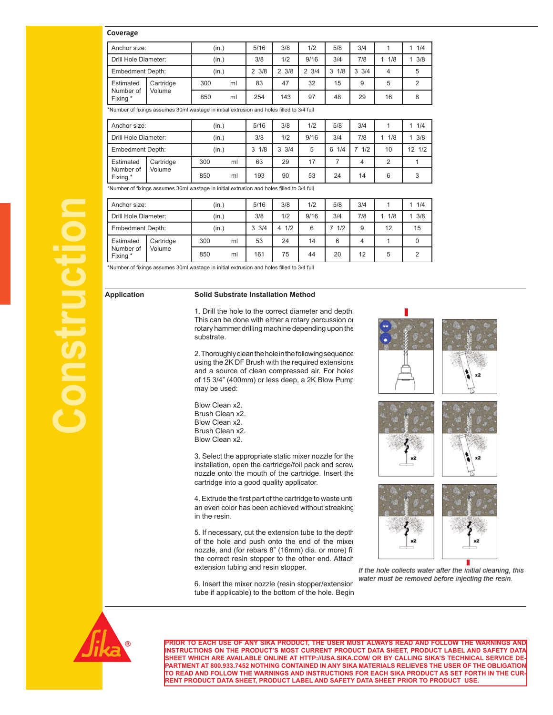## **Coverage**

| Anchor size:            |           | (in.) |    | 5/16            | 3/8                   | 1/2                   | 5/8      | 3/4             |     | 1/4  |
|-------------------------|-----------|-------|----|-----------------|-----------------------|-----------------------|----------|-----------------|-----|------|
| Drill Hole Diameter:    |           | (in.) |    | 3/8             | 1/2                   | 9/16                  | 3/4      | 7/8             | 1/8 | 13/8 |
| <b>Embedment Depth:</b> |           | (in.) |    | $2 \frac{3}{8}$ | $2 \frac{3}{8}$       | 3/4<br>$\mathfrak{p}$ | 1/8<br>3 | $3 \frac{3}{4}$ | 4   | 5    |
| Estimated               | Cartridge | 300   | ml | 83              | 47                    | 32                    | 15       | 9               | 5   |      |
| Number of<br>Fixing *   | Volume    | 850   | ml | 254             | 143<br>97<br>29<br>48 | 16                    | 8        |                 |     |      |

\*Number of fixings assumes 30ml wastage in initial extrusion and holes filled to 3/4 full

| Anchor size:            |           | (in.) |    | 5/16     | 3/8             | 1/2  | 5/8      | 3/4 |     | 1/4              |
|-------------------------|-----------|-------|----|----------|-----------------|------|----------|-----|-----|------------------|
| Drill Hole Diameter:    |           | (in.) |    | 3/8      | 1/2             | 9/16 | 3/4      | 7/8 | 1/8 | 3/8              |
| <b>Embedment Depth:</b> |           | (in.) |    | 1/8<br>3 | $3 \frac{3}{4}$ | 5    | 1/4<br>6 | 1/2 | 10  | $12 \frac{1}{2}$ |
| Estimated               | Cartridge | 300   | ml | 63       | 29              |      |          |     | C   |                  |
| Number of<br>Fixing *   | Volume    | 850   | ml | 193      | 90              | 53   | 24       | 14  | 6   | 3                |

\*Number of fixings assumes 30ml wastage in initial extrusion and holes filled to 3/4 full

| Anchor size:                                                                              | (in.)                                                                                                                                                                                                                              | 5/16            | 3/8  | 1/2  | 5/8  | 3/4 | 1         | 11/4     |  |  |
|-------------------------------------------------------------------------------------------|------------------------------------------------------------------------------------------------------------------------------------------------------------------------------------------------------------------------------------|-----------------|------|------|------|-----|-----------|----------|--|--|
| Drill Hole Diameter:                                                                      | (in.)                                                                                                                                                                                                                              | 3/8             | 1/2  | 9/16 | 3/4  | 7/8 | $1 \t1/8$ | 13/8     |  |  |
| <b>Embedment Depth:</b>                                                                   | (in.)                                                                                                                                                                                                                              | $3 \frac{3}{4}$ | 41/2 | 6    | 71/2 | 9   | 12        | 15       |  |  |
| Cartridge<br>Estimated                                                                    | 300<br>ml                                                                                                                                                                                                                          | 53              | 24   | 14   | 6    | 4   | 1         | $\Omega$ |  |  |
| Number of<br>Volume<br>Fixing *                                                           | 850<br>ml                                                                                                                                                                                                                          | 161             | 75   | 44   | 20   | 12  | 5         | 2        |  |  |
| *Number of fixings assumes 30ml wastage in initial extrusion and holes filled to 3/4 full |                                                                                                                                                                                                                                    |                 |      |      |      |     |           |          |  |  |
| <b>Application</b>                                                                        | <b>Solid Substrate Installation Method</b>                                                                                                                                                                                         |                 |      |      |      |     |           |          |  |  |
|                                                                                           | 1. Drill the hole to the correct diameter and depth.<br>This can be done with either a rotary percussion or<br>rotary hammer drilling machine depending upon the<br>substrate.                                                     |                 |      |      |      |     |           |          |  |  |
|                                                                                           | 2. Thoroughly clean the hole in the following sequence<br>using the 2K DF Brush with the required extensions<br>and a source of clean compressed air. For holes<br>of 15 3/4" (400mm) or less deep, a 2K Blow Pump<br>may be used: |                 |      |      |      |     |           |          |  |  |
|                                                                                           | Blow Clean x2<br>Brush Clean x2.<br>Blow Clean x2.<br>Brush Clean x2                                                                                                                                                               |                 |      |      |      |     |           |          |  |  |

Blow Clean x2. Brush Clean x2. Blow Clean x2. Brush Clean x2. Blow Clean x2.

3. Select the appropriate static mixer nozzle for the installation, open the cartridge/foil pack and screw nozzle onto the mouth of the cartridge. Insert the cartridge into a good quality applicator.

4. Extrude the first part of the cartridge to waste until an even color has been achieved without streaking in the resin.

5. If necessary, cut the extension tube to the depth of the hole and push onto the end of the mixer nozzle, and (for rebars 8" (16mm) dia. or more) fit the correct resin stopper to the other end. Attach extension tubing and resin stopper.

6. Insert the mixer nozzle (resin stopper/extension tube if applicable) to the bottom of the hole. Begin





If the hole collects water after the initial cleaning, this water must be removed before injecting the resin.